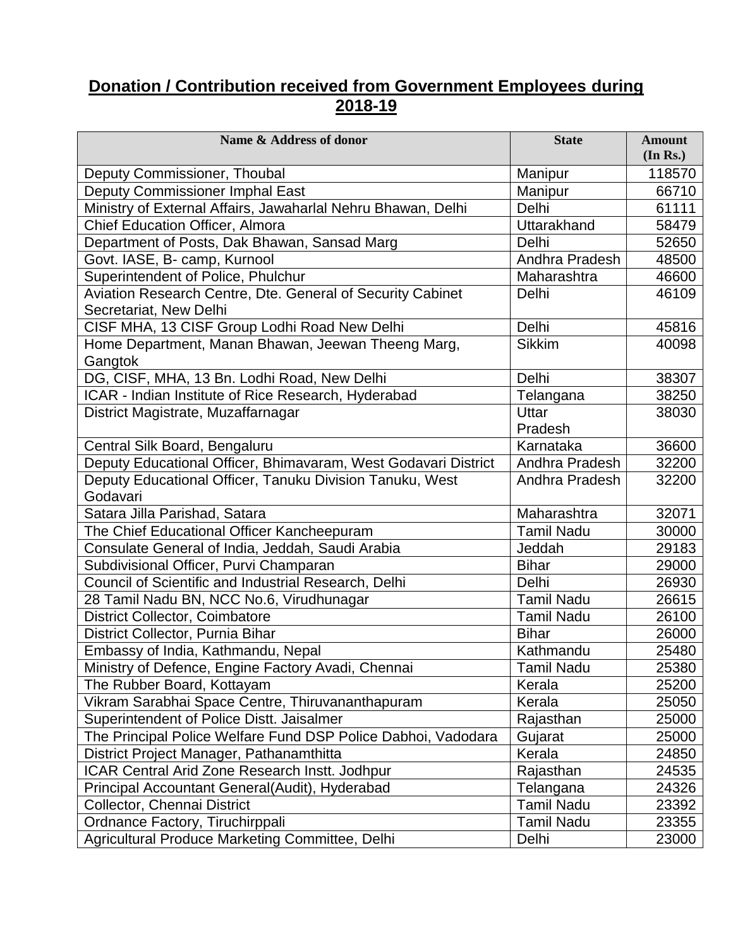## **Donation / Contribution received from Government Employees during 2018-19**

| Name & Address of donor                                        | <b>State</b>      | <b>Amount</b><br>(In Rs.) |
|----------------------------------------------------------------|-------------------|---------------------------|
| Deputy Commissioner, Thoubal                                   | Manipur           | 118570                    |
| Deputy Commissioner Imphal East                                | Manipur           | 66710                     |
| Ministry of External Affairs, Jawaharlal Nehru Bhawan, Delhi   | Delhi             | 61111                     |
| <b>Chief Education Officer, Almora</b>                         | Uttarakhand       | 58479                     |
| Department of Posts, Dak Bhawan, Sansad Marg                   | Delhi             | 52650                     |
| Govt. IASE, B- camp, Kurnool                                   | Andhra Pradesh    | 48500                     |
| Superintendent of Police, Phulchur                             | Maharashtra       | 46600                     |
| Aviation Research Centre, Dte. General of Security Cabinet     | Delhi             | 46109                     |
| Secretariat, New Delhi                                         |                   |                           |
| CISF MHA, 13 CISF Group Lodhi Road New Delhi                   | Delhi             | 45816                     |
| Home Department, Manan Bhawan, Jeewan Theeng Marg,             | <b>Sikkim</b>     | 40098                     |
| Gangtok                                                        |                   |                           |
| DG, CISF, MHA, 13 Bn. Lodhi Road, New Delhi                    | Delhi             | 38307                     |
| ICAR - Indian Institute of Rice Research, Hyderabad            | Telangana         | 38250                     |
| District Magistrate, Muzaffarnagar                             | Uttar             | 38030                     |
|                                                                | Pradesh           |                           |
| Central Silk Board, Bengaluru                                  | Karnataka         | 36600                     |
| Deputy Educational Officer, Bhimavaram, West Godavari District | Andhra Pradesh    | 32200                     |
| Deputy Educational Officer, Tanuku Division Tanuku, West       | Andhra Pradesh    | 32200                     |
| Godavari                                                       |                   |                           |
| Satara Jilla Parishad, Satara                                  | Maharashtra       | 32071                     |
| The Chief Educational Officer Kancheepuram                     | <b>Tamil Nadu</b> | 30000                     |
| Consulate General of India, Jeddah, Saudi Arabia               | Jeddah            | 29183                     |
| Subdivisional Officer, Purvi Champaran                         | <b>Bihar</b>      | 29000                     |
| Council of Scientific and Industrial Research, Delhi           | Delhi             | 26930                     |
| 28 Tamil Nadu BN, NCC No.6, Virudhunagar                       | <b>Tamil Nadu</b> | 26615                     |
| District Collector, Coimbatore                                 | <b>Tamil Nadu</b> | 26100                     |
| District Collector, Purnia Bihar                               | <b>Bihar</b>      | 26000                     |
| Embassy of India, Kathmandu, Nepal                             | Kathmandu         | 25480                     |
| Ministry of Defence, Engine Factory Avadi, Chennai             | <b>Tamil Nadu</b> | 25380                     |
| The Rubber Board, Kottayam                                     | Kerala            | 25200                     |
| Vikram Sarabhai Space Centre, Thiruvananthapuram               | Kerala            | 25050                     |
| Superintendent of Police Distt. Jaisalmer                      | Rajasthan         | 25000                     |
| The Principal Police Welfare Fund DSP Police Dabhoi, Vadodara  | Gujarat           | 25000                     |
| District Project Manager, Pathanamthitta                       | Kerala            | 24850                     |
| ICAR Central Arid Zone Research Instt. Jodhpur                 | Rajasthan         | 24535                     |
| Principal Accountant General(Audit), Hyderabad                 | Telangana         | 24326                     |
| Collector, Chennai District                                    | <b>Tamil Nadu</b> | 23392                     |
| Ordnance Factory, Tiruchirppali                                | <b>Tamil Nadu</b> | 23355                     |
| Agricultural Produce Marketing Committee, Delhi                | Delhi             | 23000                     |